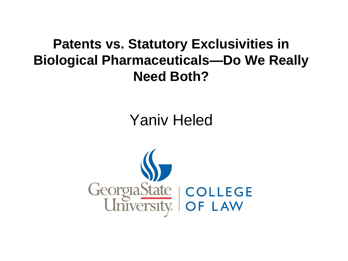#### **Patents vs. Statutory Exclusivities in Biological Pharmaceuticals-Do We Really Need Both?**

### **Yaniv Heled**

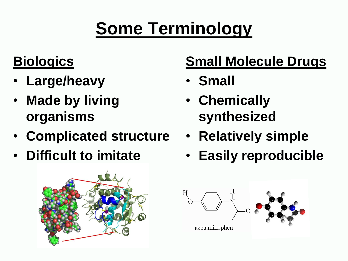# **Some Terminology**

## **Biologics**

- **Large/heavy**
- **Made by living organisms**
- **Complicated structure**
- **Difficult to imitate**



# **Small Molecule Drugs**

- **Small**
- **Chemically synthesized**
- **Relatively simple**
- **Easily reproducible**

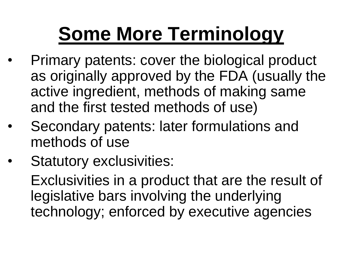# **Some More Terminology**

- Primary patents: cover the biological product as originally approved by the FDA (usually the active ingredient, methods of making same and the first tested methods of use)
- Secondary patents: later formulations and methods of use
- Statutory exclusivities:

Exclusivities in a product that are the result of legislative bars involving the underlying technology; enforced by executive agencies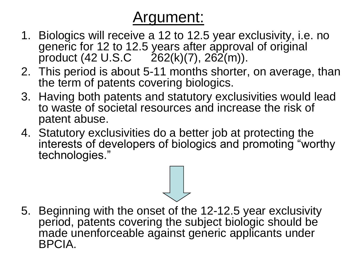## Argument:

- 1. Biologics will receive a 12 to 12.5 year exclusivity, i.e. no generic for 12 to 12.5 years after approval of original product  $(42 \text{ U.S.C } 262(k)(7), 262(m)).$
- 2. This period is about 5-11 months shorter, on average, than the term of patents covering biologics.
- 3. Having both patents and statutory exclusivities would lead to waste of societal resources and increase the risk of patent abuse.
- 4. Statutory exclusivities do a better job at protecting the interests of developers of biologics and promoting "worthy technologies."

5. Beginning with the onset of the 12-12.5 year exclusivity period, patents covering the subject biologic should be made unenforceable against generic applicants under BPCIA.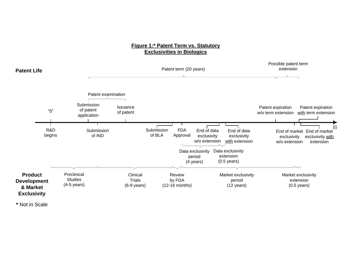#### **Figure 1:\* Patent Term vs. Statutory Exclusivities in Biologics**



**\*** Not in Scale